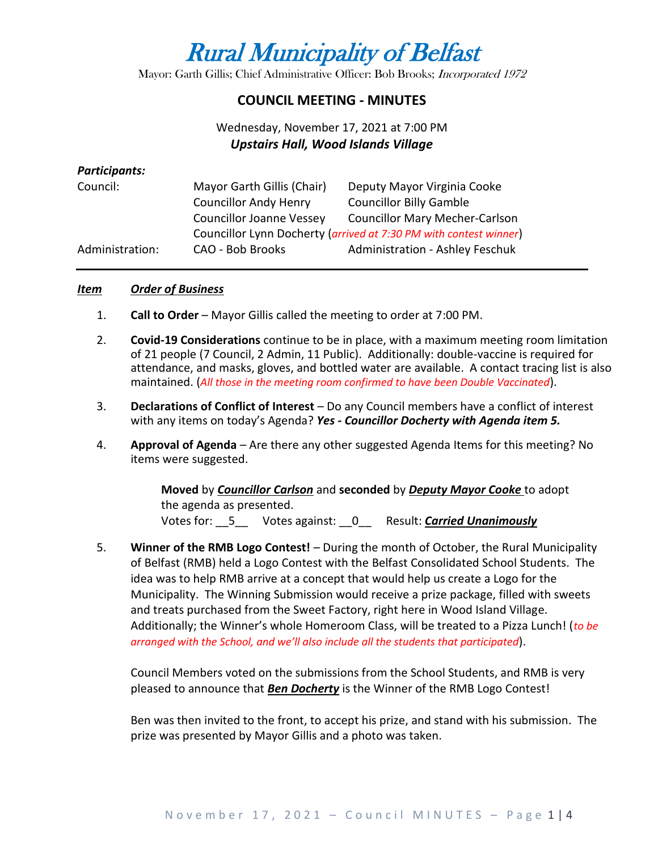# Rural Municipality of Belfast

Mayor: Garth Gillis; Chief Administrative Officer: Bob Brooks; Incorporated 1972

## **COUNCIL MEETING - MINUTES**

# Wednesday, November 17, 2021 at 7:00 PM *Upstairs Hall, Wood Islands Village*

#### *Participants:*

| Council:        | Mayor Garth Gillis (Chair)                                        | Deputy Mayor Virginia Cooke            |
|-----------------|-------------------------------------------------------------------|----------------------------------------|
|                 | <b>Councillor Andy Henry</b>                                      | <b>Councillor Billy Gamble</b>         |
|                 | <b>Councillor Joanne Vessey</b>                                   | <b>Councillor Mary Mecher-Carlson</b>  |
|                 | Councillor Lynn Docherty (arrived at 7:30 PM with contest winner) |                                        |
| Administration: | CAO - Bob Brooks                                                  | <b>Administration - Ashley Feschuk</b> |

#### *Item Order of Business*

- 1. **Call to Order** Mayor Gillis called the meeting to order at 7:00 PM.
- 2. **Covid-19 Considerations** continue to be in place, with a maximum meeting room limitation of 21 people (7 Council, 2 Admin, 11 Public). Additionally: double-vaccine is required for attendance, and masks, gloves, and bottled water are available. A contact tracing list is also maintained. (*All those in the meeting room confirmed to have been Double Vaccinated*).
- 3. **Declarations of Conflict of Interest** Do any Council members have a conflict of interest with any items on today's Agenda? *Yes - Councillor Docherty with Agenda item 5.*
- 4. **Approval of Agenda** Are there any other suggested Agenda Items for this meeting? No items were suggested.

**Moved** by *Councillor Carlson* and **seconded** by *Deputy Mayor Cooke* to adopt the agenda as presented. Votes for: \_\_5\_\_ Votes against: \_\_0\_\_ Result: *Carried Unanimously*

5. **Winner of the RMB Logo Contest!** – During the month of October, the Rural Municipality of Belfast (RMB) held a Logo Contest with the Belfast Consolidated School Students. The idea was to help RMB arrive at a concept that would help us create a Logo for the Municipality. The Winning Submission would receive a prize package, filled with sweets and treats purchased from the Sweet Factory, right here in Wood Island Village. Additionally; the Winner's whole Homeroom Class, will be treated to a Pizza Lunch! (*to be arranged with the School, and we'll also include all the students that participated*).

Council Members voted on the submissions from the School Students, and RMB is very pleased to announce that *Ben Docherty* is the Winner of the RMB Logo Contest!

Ben was then invited to the front, to accept his prize, and stand with his submission. The prize was presented by Mayor Gillis and a photo was taken.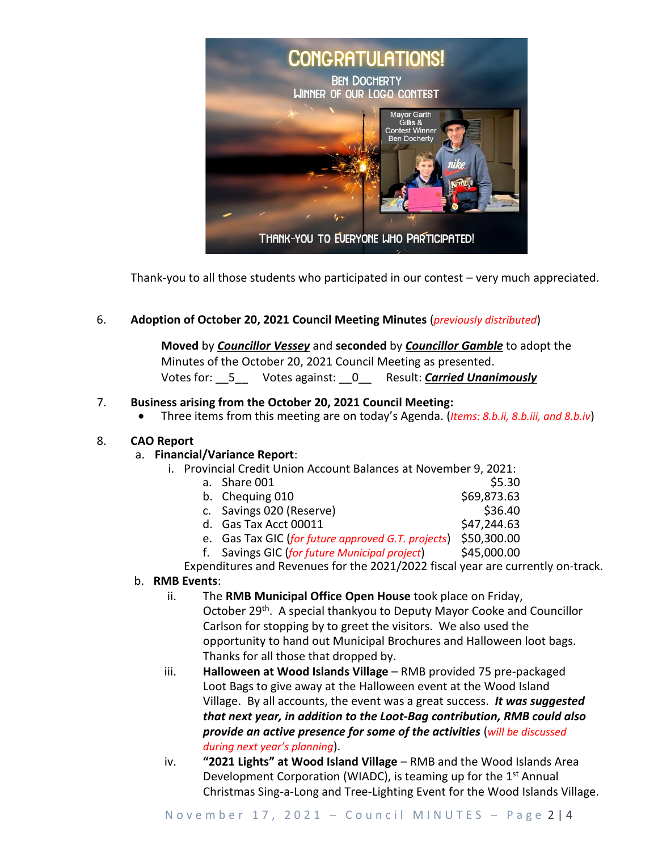

Thank-you to all those students who participated in our contest – very much appreciated.

#### 6. **Adoption of October 20, 2021 Council Meeting Minutes** (*previously distributed*)

**Moved** by *Councillor Vessey* and **seconded** by *Councillor Gamble* to adopt the Minutes of the October 20, 2021 Council Meeting as presented. Votes for: \_\_5\_\_ Votes against: \_\_0\_\_ Result: *Carried Unanimously*

#### 7. **Business arising from the October 20, 2021 Council Meeting:**

• Three items from this meeting are on today's Agenda. (*Items: 8.b.ii, 8.b.iii, and 8.b.iv*)

#### 8. **CAO Report**

#### a. **Financial/Variance Report**:

- i. Provincial Credit Union Account Balances at November 9, 2021:
	- a. Share  $001$  \$5.30 b. Chequing  $010$  \$69,873.63 c. Savings 020 (Reserve) 6. Savings 020 (Reserve) d. Gas Tax Acct 00011 \$47,244.63 e. Gas Tax GIC (*for future approved G.T. projects*) \$50,300.00 f. Savings GIC (*for future Municipal project*) \$45,000.00 Expenditures and Revenues for the 2021/2022 fiscal year are currently on-track.

#### b. **RMB Events**:

- ii. The **RMB Municipal Office Open House** took place on Friday, October 29<sup>th</sup>. A special thankyou to Deputy Mayor Cooke and Councillor Carlson for stopping by to greet the visitors. We also used the opportunity to hand out Municipal Brochures and Halloween loot bags. Thanks for all those that dropped by.
- iii. **Halloween at Wood Islands Village** RMB provided 75 pre-packaged Loot Bags to give away at the Halloween event at the Wood Island Village. By all accounts, the event was a great success. *It was suggested that next year, in addition to the Loot-Bag contribution, RMB could also provide an active presence for some of the activities* (*will be discussed during next year's planning*).
- iv. **"2021 Lights" at Wood Island Village** RMB and the Wood Islands Area Development Corporation (WIADC), is teaming up for the  $1<sup>st</sup>$  Annual Christmas Sing-a-Long and Tree-Lighting Event for the Wood Islands Village.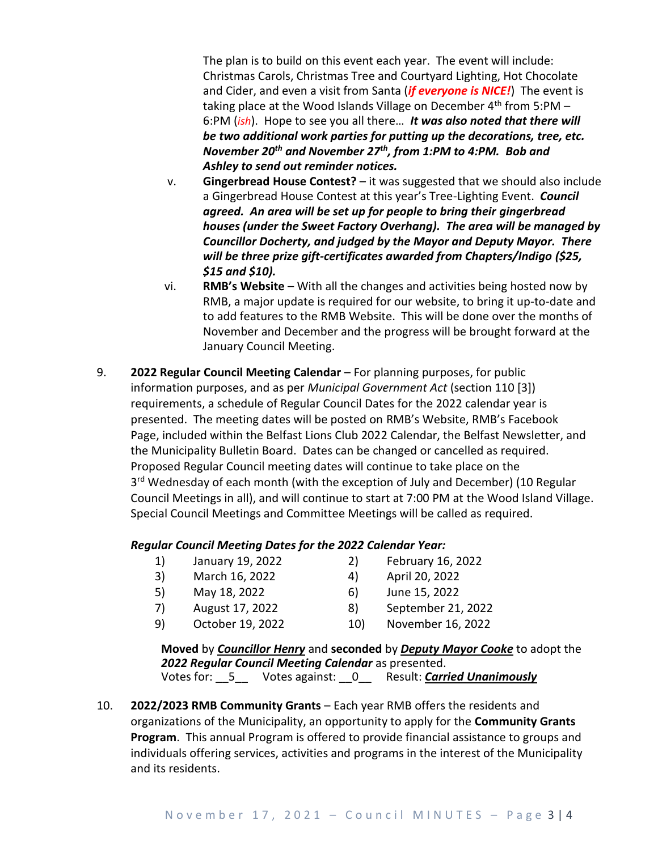The plan is to build on this event each year. The event will include: Christmas Carols, Christmas Tree and Courtyard Lighting, Hot Chocolate and Cider, and even a visit from Santa (*if everyone is NICE!*) The event is taking place at the Wood Islands Village on December  $4<sup>th</sup>$  from 5:PM – 6:PM (*ish*). Hope to see you all there… *It was also noted that there will be two additional work parties for putting up the decorations, tree, etc. November 20th and November 27th, from 1:PM to 4:PM. Bob and Ashley to send out reminder notices.*

- v. **Gingerbread House Contest?** it was suggested that we should also include a Gingerbread House Contest at this year's Tree-Lighting Event. *Council agreed. An area will be set up for people to bring their gingerbread houses (under the Sweet Factory Overhang). The area will be managed by Councillor Docherty, and judged by the Mayor and Deputy Mayor. There will be three prize gift-certificates awarded from Chapters/Indigo (\$25, \$15 and \$10).*
- vi. **RMB's Website** With all the changes and activities being hosted now by RMB, a major update is required for our website, to bring it up-to-date and to add features to the RMB Website. This will be done over the months of November and December and the progress will be brought forward at the January Council Meeting.
- 9. **2022 Regular Council Meeting Calendar**  For planning purposes, for public information purposes, and as per *Municipal Government Act* (section 110 [3]) requirements, a schedule of Regular Council Dates for the 2022 calendar year is presented. The meeting dates will be posted on RMB's Website, RMB's Facebook Page, included within the Belfast Lions Club 2022 Calendar, the Belfast Newsletter, and the Municipality Bulletin Board. Dates can be changed or cancelled as required. Proposed Regular Council meeting dates will continue to take place on the 3<sup>rd</sup> Wednesday of each month (with the exception of July and December) (10 Regular Council Meetings in all), and will continue to start at 7:00 PM at the Wood Island Village. Special Council Meetings and Committee Meetings will be called as required.

### *Regular Council Meeting Dates for the 2022 Calendar Year:*

- 1) January 19, 2022 2) February 16, 2022
- 3) March 16, 2022 4) April 20, 2022
- -
- 
- 5) May 18, 2022 6) June 15, 2022
	-
- 7) August 17, 2022 8) September 21, 2022
- 9) October 19, 2022 10) November 16, 2022

**Moved** by *Councillor Henry* and **seconded** by *Deputy Mayor Cooke* to adopt the *2022 Regular Council Meeting Calendar* as presented. Votes for: \_\_5\_\_ Votes against: \_\_0\_\_ Result: *Carried Unanimously*

10. **2022/2023 RMB Community Grants** – Each year RMB offers the residents and organizations of the Municipality, an opportunity to apply for the **Community Grants Program**. This annual Program is offered to provide financial assistance to groups and individuals offering services, activities and programs in the interest of the Municipality and its residents.